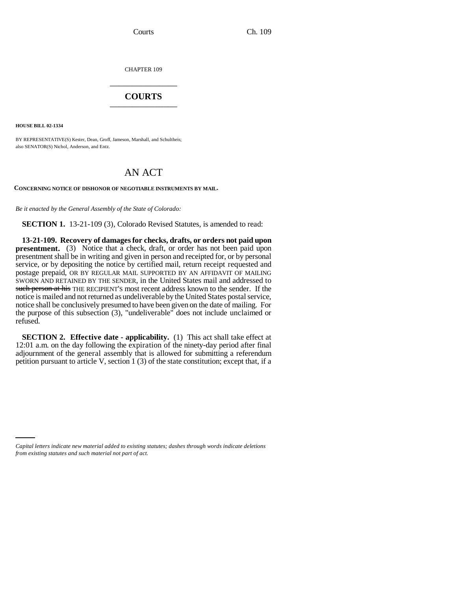CHAPTER 109 \_\_\_\_\_\_\_\_\_\_\_\_\_\_\_

## **COURTS** \_\_\_\_\_\_\_\_\_\_\_\_\_\_\_

**HOUSE BILL 02-1334**

BY REPRESENTATIVE(S) Kester, Dean, Groff, Jameson, Marshall, and Schultheis; also SENATOR(S) Nichol, Anderson, and Entz.

# AN ACT

### **CONCERNING NOTICE OF DISHONOR OF NEGOTIABLE INSTRUMENTS BY MAIL.**

*Be it enacted by the General Assembly of the State of Colorado:*

**SECTION 1.** 13-21-109 (3), Colorado Revised Statutes, is amended to read:

**13-21-109. Recovery of damages for checks, drafts, or orders not paid upon presentment.** (3) Notice that a check, draft, or order has not been paid upon presentment shall be in writing and given in person and receipted for, or by personal service, or by depositing the notice by certified mail, return receipt requested and postage prepaid, OR BY REGULAR MAIL SUPPORTED BY AN AFFIDAVIT OF MAILING SWORN AND RETAINED BY THE SENDER, in the United States mail and addressed to such person at his THE RECIPIENT'S most recent address known to the sender. If the notice is mailed and not returned as undeliverable by the United States postal service, notice shall be conclusively presumed to have been given on the date of mailing. For the purpose of this subsection (3), "undeliverable" does not include unclaimed or refused.

**SECTION 2. Effective date - applicability.** (1) This act shall take effect at 12:01 a.m. on the day following the expiration of the ninety-day period after final adjournment of the general assembly that is allowed for submitting a referendum petition pursuant to article V, section 1 (3) of the state constitution; except that, if a

*Capital letters indicate new material added to existing statutes; dashes through words indicate deletions from existing statutes and such material not part of act.*